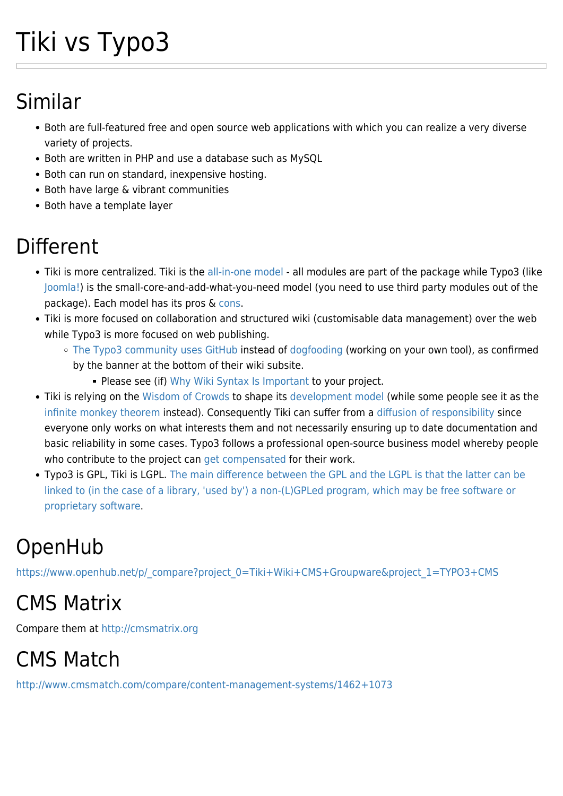# Tiki vs Typo3

## Similar

- Both are full-featured free and open source web applications with which you can realize a very diverse variety of projects.
- Both are written in PHP and use a database such as MySQL
- Both can run on standard, inexpensive hosting.
- Both have large & vibrant communities
- Both have a template layer

## Different

- Tiki is more centralized. Tiki is the [all-in-one model](https://tiki.org/Model)  all modules are part of the package while Typo3 (like [Joomla!\)](https://tiki.org/Tiki-vs-Joomla!) is the small-core-and-add-what-you-need model (you need to use third party modules out of the package). Each model has its pros & [cons](http://pluginproblems.com/Modules-Extensions).
- Tiki is more focused on collaboration and structured wiki (customisable data management) over the web while Typo3 is more focused on web publishing.
	- [The Typo3 community uses GitHub](https://docs.typo3.org/Home/WikiLanding.html) instead of [dogfooding](https://tiki.org/DogFood) (working on your own tool), as confirmed by the banner at the bottom of their wiki subsite.
		- **Please see (if) [Why Wiki Syntax Is Important](https://tiki.org/Why-Wiki-Syntax-Is-Important) to your project.**
- Tiki is relying on the [Wisdom of Crowds](https://en.wikipedia.org/wiki/The_Wisdom_of_Crowds) to shape its [development model](https://tiki.org/model) (while some people see it as the [infinite monkey theorem](https://en.wikipedia.org/wiki/Infinite_monkey_theorem) instead). Consequently Tiki can suffer from a [diffusion of responsibility](https://en.wikipedia.org/wiki/Diffusion_of_responsibility) since everyone only works on what interests them and not necessarily ensuring up to date documentation and basic reliability in some cases. Typo3 follows a professional open-source business model whereby people who contribute to the project can [get compensated](https://typo3.org/association/funding/) for their work.
- Typo3 is GPL, Tiki is LGPL. [The main difference between the GPL and the LGPL is that the latter can be](http://en.wikipedia.org/wiki/GNU_Lesser_General_Public_License#Differences_from_the_GPL) [linked to \(in the case of a library, 'used by'\) a non-\(L\)GPLed program, which may be free software or](http://en.wikipedia.org/wiki/GNU_Lesser_General_Public_License#Differences_from_the_GPL) [proprietary software.](http://en.wikipedia.org/wiki/GNU_Lesser_General_Public_License#Differences_from_the_GPL)

# OpenHub

[https://www.openhub.net/p/\\_compare?project\\_0=Tiki+Wiki+CMS+Groupware&project\\_1=TYPO3+CMS](https://www.openhub.net/p/_compare?project_0=Tiki+Wiki+CMS+Groupware&project_1=TYPO3+CMS)

### CMS Matrix

Compare them at<http://cmsmatrix.org>

# CMS Match

<http://www.cmsmatch.com/compare/content-management-systems/1462+1073>